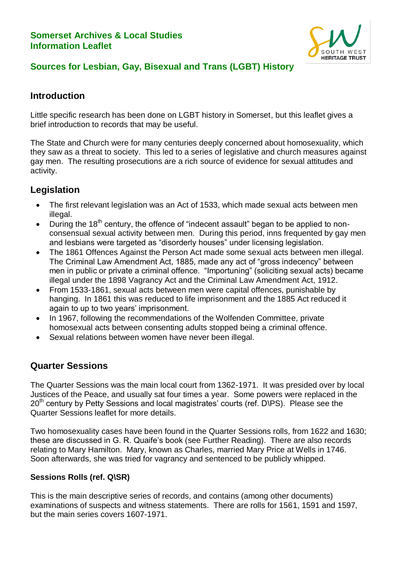## **Somerset Archives & Local Studies Information Leaflet**



# **Sources for Lesbian, Gay, Bisexual and Trans (LGBT) History**

# **Introduction**

Little specific research has been done on LGBT history in Somerset, but this leaflet gives a brief introduction to records that may be useful.

The State and Church were for many centuries deeply concerned about homosexuality, which they saw as a threat to society. This led to a series of legislative and church measures against gay men. The resulting prosecutions are a rich source of evidence for sexual attitudes and activity.

# **Legislation**

- The first relevant legislation was an Act of 1533, which made sexual acts between men illegal.
- During the  $18<sup>th</sup>$  century, the offence of "indecent assault" began to be applied to nonconsensual sexual activity between men. During this period, inns frequented by gay men and lesbians were targeted as "disorderly houses" under licensing legislation.
- The 1861 Offences Against the Person Act made some sexual acts between men illegal. The Criminal Law Amendment Act, 1885, made any act of "gross indecency" between men in public or private a criminal offence. "Importuning" (soliciting sexual acts) became illegal under the 1898 Vagrancy Act and the Criminal Law Amendment Act, 1912.
- From 1533-1861, sexual acts between men were capital offences, punishable by hanging. In 1861 this was reduced to life imprisonment and the 1885 Act reduced it again to up to two years' imprisonment.
- In 1967, following the recommendations of the Wolfenden Committee, private homosexual acts between consenting adults stopped being a criminal offence.
- Sexual relations between women have never been illegal.

# **Quarter Sessions**

The Quarter Sessions was the main local court from 1362-1971. It was presided over by local Justices of the Peace, and usually sat four times a year. Some powers were replaced in the  $20<sup>th</sup>$  century by Petty Sessions and local magistrates' courts (ref. D\PS). Please see the Quarter Sessions leaflet for more details.

Two homosexuality cases have been found in the Quarter Sessions rolls, from 1622 and 1630; these are discussed in G. R. Quaife's book (see Further Reading). There are also records relating to Mary Hamilton. Mary, known as Charles, married Mary Price at Wells in 1746. Soon afterwards, she was tried for vagrancy and sentenced to be publicly whipped.

## **Sessions Rolls (ref. Q\SR)**

This is the main descriptive series of records, and contains (among other documents) examinations of suspects and witness statements. There are rolls for 1561, 1591 and 1597, but the main series covers 1607-1971.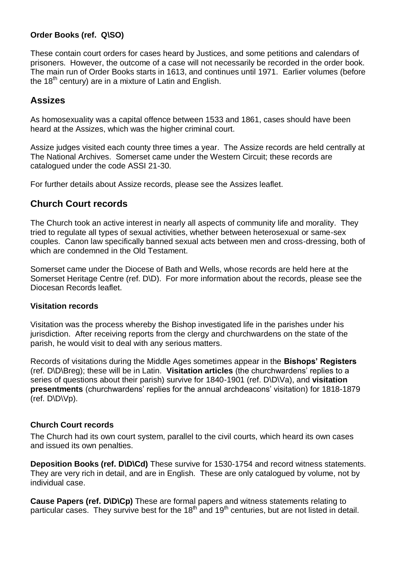## **Order Books (ref. Q\SO)**

These contain court orders for cases heard by Justices, and some petitions and calendars of prisoners. However, the outcome of a case will not necessarily be recorded in the order book. The main run of Order Books starts in 1613, and continues until 1971. Earlier volumes (before the 18<sup>th</sup> century) are in a mixture of Latin and English.

# **Assizes**

As homosexuality was a capital offence between 1533 and 1861, cases should have been heard at the Assizes, which was the higher criminal court.

Assize judges visited each county three times a year. The Assize records are held centrally at The National Archives. Somerset came under the Western Circuit; these records are catalogued under the code ASSI 21-30.

For further details about Assize records, please see the Assizes leaflet.

## **Church Court records**

The Church took an active interest in nearly all aspects of community life and morality. They tried to regulate all types of sexual activities, whether between heterosexual or same-sex couples. Canon law specifically banned sexual acts between men and cross-dressing, both of which are condemned in the Old Testament.

Somerset came under the Diocese of Bath and Wells, whose records are held here at the Somerset Heritage Centre (ref. D\D). For more information about the records, please see the Diocesan Records leaflet.

#### **Visitation records**

Visitation was the process whereby the Bishop investigated life in the parishes under his jurisdiction. After receiving reports from the clergy and churchwardens on the state of the parish, he would visit to deal with any serious matters.

Records of visitations during the Middle Ages sometimes appear in the **Bishops' Registers** (ref. D\D\Breg); these will be in Latin. **Visitation articles** (the churchwardens' replies to a series of questions about their parish) survive for 1840-1901 (ref. D\D\Va), and **visitation presentments** (churchwardens' replies for the annual archdeacons' visitation) for 1818-1879 (ref. D\D\Vp).

#### **Church Court records**

The Church had its own court system, parallel to the civil courts, which heard its own cases and issued its own penalties.

**Deposition Books (ref. D\D\Cd)** These survive for 1530-1754 and record witness statements. They are very rich in detail, and are in English. These are only catalogued by volume, not by individual case.

**Cause Papers (ref. D\D\Cp)** These are formal papers and witness statements relating to particular cases. They survive best for the 18<sup>th</sup> and 19<sup>th</sup> centuries, but are not listed in detail.